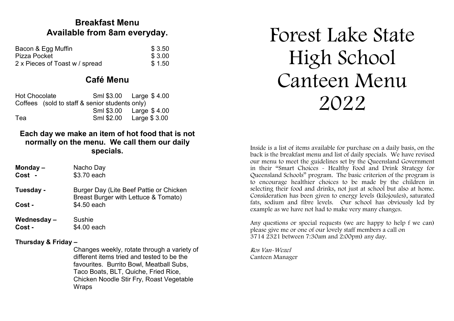# **Breakfast Menu Available from 8am everyday.**

| Bacon & Egg Muffin             | \$3.50 |
|--------------------------------|--------|
| Pizza Pocket                   | \$3.00 |
| 2 x Pieces of Toast w / spread | \$1.50 |

# **Café Menu**

| <b>Hot Chocolate</b> |                                                |            | Sml \$3.00    Large \$4.00 |
|----------------------|------------------------------------------------|------------|----------------------------|
|                      | Coffees (sold to staff & senior students only) |            |                            |
|                      |                                                |            | Sml \$3.00    Large \$4.00 |
| Tea                  |                                                | Sml \$2.00 | Large \$ 3.00              |

## **Each day we make an item of hot food that is not normally on the menu. We call them our daily specials.**

**Monday –** Nacho Day **Cost -** \$3.70 each

**Tuesday -** Burger Day (Lite Beef Pattie or Chicken Breast Burger with Lettuce & Tomato) **Cost -** \$4.50 each

**Wednesday –** Sushie **Cost -** \$4.00 each

## **Thursday & Friday –**

Changes weekly, rotate through a variety of different items tried and tested to be the favourites. Burrito Bowl, Meatball Subs, Taco Boats, BLT, Quiche, Fried Rice, Chicken Noodle Stir Fry, Roast Vegetable **Wraps** 

# Forest Lake State High School Canteen Menu 2022

Inside is a list of items available for purchase on a daily basis, on the back is the breakfast menu and list of daily specials. We have revised our menu to meet the guidelines set by the Queensland Government in their "Smart Choices - Healthy Food and Drink Strategy for Queensland Schools" program. The basic criterion of the program is to encourage healthier choices to be made by the children in selecting their food and drinks, not just at school but also at home. Consideration has been given to energy levels (kilojoules), saturated fats, sodium and fibre levels. Our school has obviously led by example as we have not had to make very many changes.

Any questions or special requests (we are happy to help f we can) please give me or one of our lovely staff members a call on 3714 2321 between 7:30am and 2:00pm) any day.

Ros Van-Wezel Canteen Manager